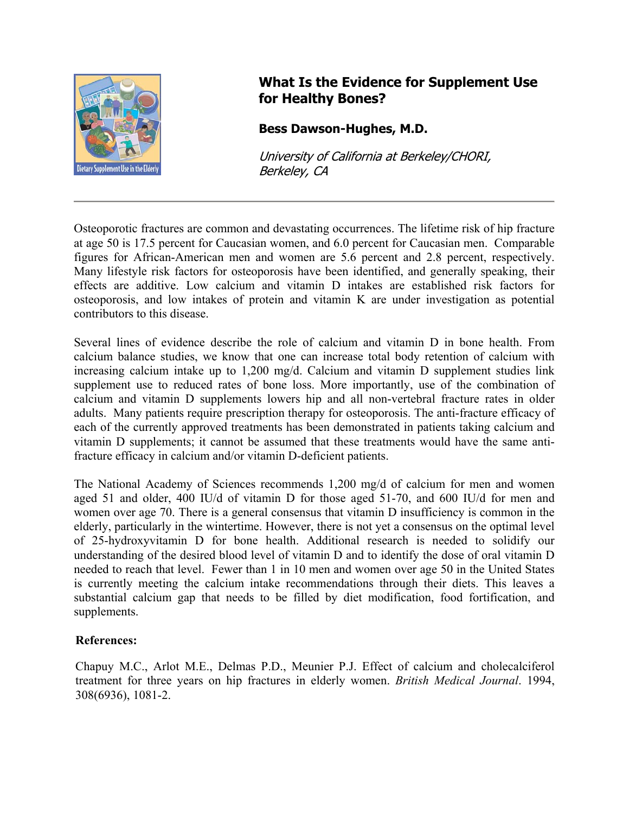

## **What Is the Evidence for Supplement Use for Healthy Bones?**

## **Bess Dawson-Hughes, M.D.**

University of California at Berkeley/CHORI, Berkeley, CA

Osteoporotic fractures are common and devastating occurrences. The lifetime risk of hip fracture at age 50 is 17.5 percent for Caucasian women, and 6.0 percent for Caucasian men. Comparable figures for African-American men and women are 5.6 percent and 2.8 percent, respectively. Many lifestyle risk factors for osteoporosis have been identified, and generally speaking, their effects are additive. Low calcium and vitamin D intakes are established risk factors for osteoporosis, and low intakes of protein and vitamin K are under investigation as potential contributors to this disease.

Several lines of evidence describe the role of calcium and vitamin D in bone health. From calcium balance studies, we know that one can increase total body retention of calcium with increasing calcium intake up to 1,200 mg/d. Calcium and vitamin D supplement studies link supplement use to reduced rates of bone loss. More importantly, use of the combination of calcium and vitamin D supplements lowers hip and all non-vertebral fracture rates in older adults. Many patients require prescription therapy for osteoporosis. The anti-fracture efficacy of each of the currently approved treatments has been demonstrated in patients taking calcium and vitamin D supplements; it cannot be assumed that these treatments would have the same antifracture efficacy in calcium and/or vitamin D-deficient patients.

The National Academy of Sciences recommends 1,200 mg/d of calcium for men and women aged 51 and older, 400 IU/d of vitamin D for those aged 51-70, and 600 IU/d for men and women over age 70. There is a general consensus that vitamin D insufficiency is common in the elderly, particularly in the wintertime. However, there is not yet a consensus on the optimal level of 25-hydroxyvitamin D for bone health. Additional research is needed to solidify our understanding of the desired blood level of vitamin D and to identify the dose of oral vitamin D needed to reach that level. Fewer than 1 in 10 men and women over age 50 in the United States is currently meeting the calcium intake recommendations through their diets. This leaves a substantial calcium gap that needs to be filled by diet modification, food fortification, and supplements.

## **References:**

Chapuy M.C., Arlot M.E., Delmas P.D., Meunier P.J. Effect of calcium and cholecalciferol treatment for three years on hip fractures in elderly women. *British Medical Journal*. 1994, 308(6936), 1081-2.